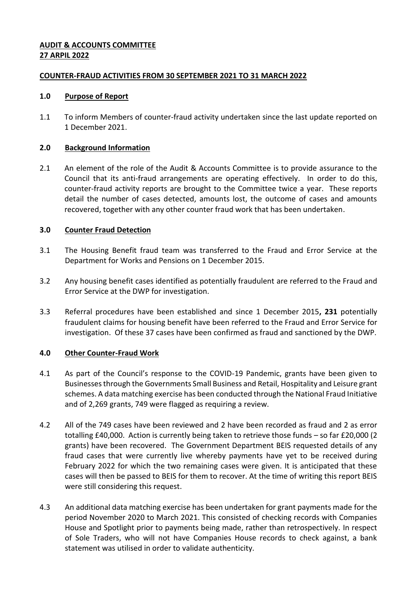# **AUDIT & ACCOUNTS COMMITTEE 27 ARPIL 2022**

## **COUNTER-FRAUD ACTIVITIES FROM 30 SEPTEMBER 2021 TO 31 MARCH 2022**

## **1.0 Purpose of Report**

1.1 To inform Members of counter-fraud activity undertaken since the last update reported on 1 December 2021.

## **2.0 Background Information**

2.1 An element of the role of the Audit & Accounts Committee is to provide assurance to the Council that its anti-fraud arrangements are operating effectively. In order to do this, counter-fraud activity reports are brought to the Committee twice a year. These reports detail the number of cases detected, amounts lost, the outcome of cases and amounts recovered, together with any other counter fraud work that has been undertaken.

# **3.0 Counter Fraud Detection**

- 3.1 The Housing Benefit fraud team was transferred to the Fraud and Error Service at the Department for Works and Pensions on 1 December 2015.
- 3.2 Any housing benefit cases identified as potentially fraudulent are referred to the Fraud and Error Service at the DWP for investigation.
- 3.3 Referral procedures have been established and since 1 December 2015**, 231** potentially fraudulent claims for housing benefit have been referred to the Fraud and Error Service for investigation. Of these 37 cases have been confirmed as fraud and sanctioned by the DWP.

# **4.0 Other Counter-Fraud Work**

- 4.1 As part of the Council's response to the COVID-19 Pandemic, grants have been given to Businesses through the Governments Small Business and Retail, Hospitality and Leisure grant schemes. A data matching exercise has been conducted through the National Fraud Initiative and of 2,269 grants, 749 were flagged as requiring a review.
- 4.2 All of the 749 cases have been reviewed and 2 have been recorded as fraud and 2 as error totalling £40,000. Action is currently being taken to retrieve those funds – so far £20,000 (2 grants) have been recovered. The Government Department BEIS requested details of any fraud cases that were currently live whereby payments have yet to be received during February 2022 for which the two remaining cases were given. It is anticipated that these cases will then be passed to BEIS for them to recover. At the time of writing this report BEIS were still considering this request.
- 4.3 An additional data matching exercise has been undertaken for grant payments made for the period November 2020 to March 2021. This consisted of checking records with Companies House and Spotlight prior to payments being made, rather than retrospectively. In respect of Sole Traders, who will not have Companies House records to check against, a bank statement was utilised in order to validate authenticity.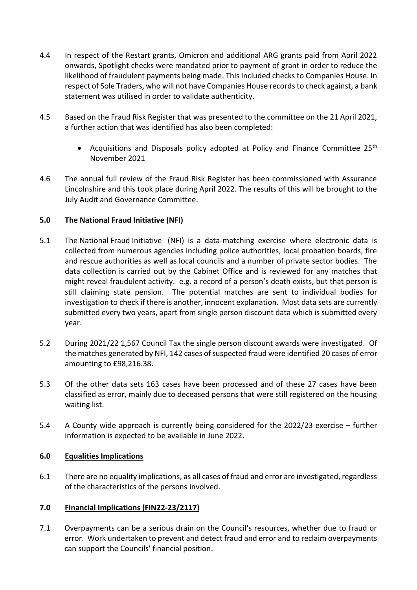- 4.4 In respect of the Restart grants, Omicron and additional ARG grants paid from April 2022 onwards, Spotlight checks were mandated prior to payment of grant in order to reduce the likelihood of fraudulent payments being made. This included checks to Companies House. In respect of Sole Traders, who will not have Companies House records to check against, a bank statement was utilised in order to validate authenticity.
- 4.5 Based on the Fraud Risk Register that was presented to the committee on the 21 April 2021, a further action that was identified has also been completed:
	- Acquisitions and Disposals policy adopted at Policy and Finance Committee 25<sup>th</sup> November 2021
- 4.6 The annual full review of the Fraud Risk Register has been commissioned with Assurance Lincolnshire and this took place during April 2022. The results of this will be brought to the July Audit and Governance Committee.

# **5.0 The National Fraud Initiative (NFI)**

- 5.1 The National Fraud Initiative (NFI) is a data-matching exercise where electronic data is collected from numerous agencies including police authorities, local probation boards, fire and rescue authorities as well as local councils and a number of private sector bodies. The data collection is carried out by the Cabinet Office and is reviewed for any matches that might reveal fraudulent activity. e.g. a record of a person's death exists, but that person is still claiming state pension. The potential matches are sent to individual bodies for investigation to check if there is another, innocent explanation. Most data sets are currently submitted every two years, apart from single person discount data which is submitted every year.
- 5.2 During 2021/22 1,567 Council Tax the single person discount awards were investigated. Of the matches generated by NFI, 142 cases of suspected fraud were identified 20 cases of error amounting to £98,216.38.
- 5.3 Of the other data sets 163 cases have been processed and of these 27 cases have been classified as error, mainly due to deceased persons that were still registered on the housing waiting list.
- 5.4 A County wide approach is currently being considered for the 2022/23 exercise further information is expected to be available in June 2022.

# **6.0 Equalities Implications**

6.1 There are no equality implications, as all cases of fraud and error are investigated, regardless of the characteristics of the persons involved.

# **7.0 Financial Implications (FIN22-23/2117)**

7.1 Overpayments can be a serious drain on the Council's resources, whether due to fraud or error. Work undertaken to prevent and detect fraud and error and to reclaim overpayments can support the Councils' financial position.